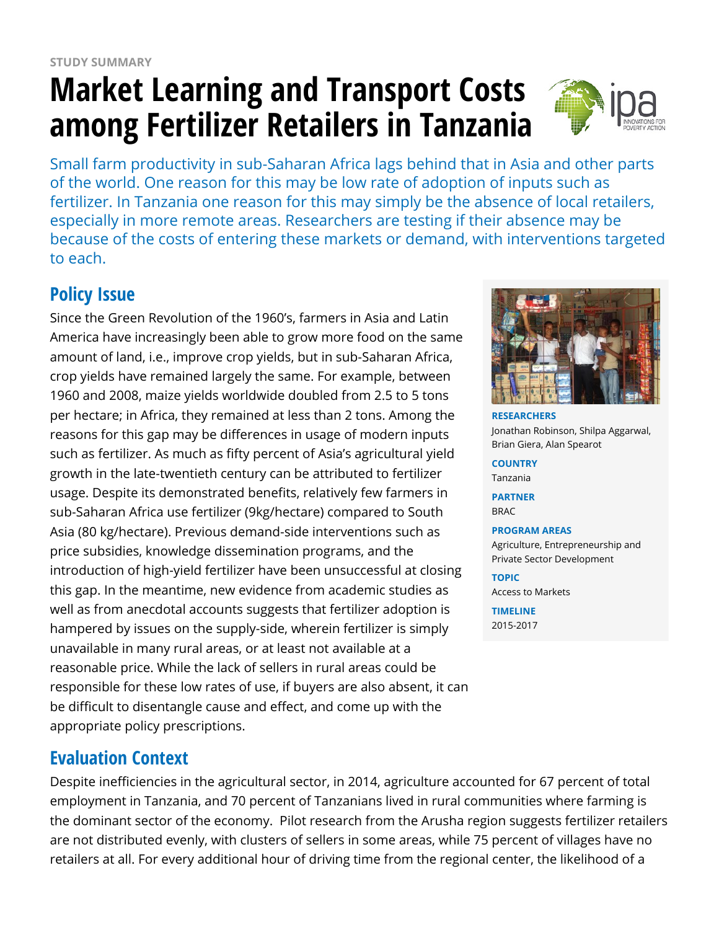# **Market Learning and Transport Costs among Fertilizer Retailers in Tanzania**



Small farm productivity in sub-Saharan Africa lags behind that in Asia and other parts of the world. One reason for this may be low rate of adoption of inputs such as fertilizer. In Tanzania one reason for this may simply be the absence of local retailers, especially in more remote areas. Researchers are testing if their absence may be because of the costs of entering these markets or demand, with interventions targeted to each.

## **Policy Issue**

Since the Green Revolution of the 1960's, farmers in Asia and Latin America have increasingly been able to grow more food on the same amount of land, i.e., improve crop yields, but in sub-Saharan Africa, crop yields have remained largely the same. For example, between 1960 and 2008, maize yields worldwide doubled from 2.5 to 5 tons per hectare; in Africa, they remained at less than 2 tons. Among the reasons for this gap may be differences in usage of modern inputs such as fertilizer. As much as fifty percent of Asia's agricultural yield growth in the late-twentieth century can be attributed to fertilizer usage. Despite its demonstrated benefits, relatively few farmers in sub-Saharan Africa use fertilizer (9kg/hectare) compared to South Asia (80 kg/hectare). Previous demand-side interventions such as price subsidies, knowledge dissemination programs, and the introduction of high-yield fertilizer have been unsuccessful at closing this gap. In the meantime, new evidence from academic studies as well as from anecdotal accounts suggests that fertilizer adoption is hampered by issues on the supply-side, wherein fertilizer is simply unavailable in many rural areas, or at least not available at a reasonable price. While the lack of sellers in rural areas could be responsible for these low rates of use, if buyers are also absent, it can be difficult to disentangle cause and effect, and come up with the appropriate policy prescriptions.

#### **Evaluation Context**

Despite inefficiencies in the agricultural sector, in 2014, agriculture accounted for 67 percent of total employment in Tanzania, and 70 percent of Tanzanians lived in rural communities where farming is the dominant sector of the economy. Pilot research from the Arusha region suggests fertilizer retailers are not distributed evenly, with clusters of sellers in some areas, while 75 percent of villages have no retailers at all. For every additional hour of driving time from the regional center, the likelihood of a



**RESEARCHERS** Jonathan Robinson, Shilpa Aggarwal, Brian Giera, Alan Spearot

**COUNTRY** Tanzania

**PARTNER** BRAC

**PROGRAM AREAS**

Agriculture, Entrepreneurship and Private Sector Development

**TOPIC** Access to Markets

**TIMELINE** 2015-2017